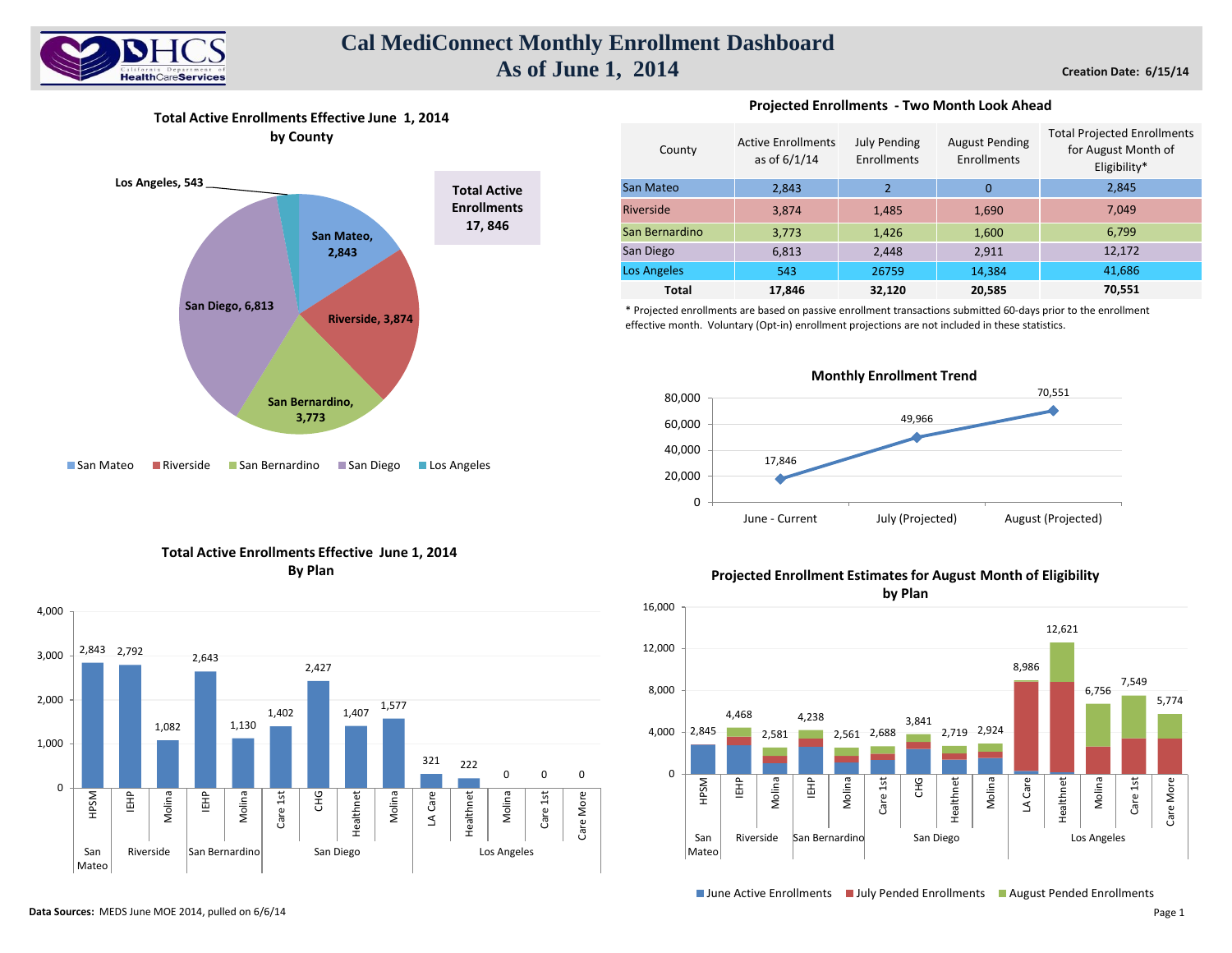

# **Cal MediConnect Monthly Enrollment Dashboard As of June 1, 2014**

**Creation Date: 6/15/14**

**Total Active Enrollments Effective June 1, 2014 by County**



#### **Projected Enrollments - Two Month Look Ahead**

| County             | <b>Active Enrollments</b><br>as of $6/1/14$ | <b>July Pending</b><br>Enrollments | <b>August Pending</b><br>Enrollments | <b>Total Projected Enrollments</b><br>for August Month of<br>Eligibility* |
|--------------------|---------------------------------------------|------------------------------------|--------------------------------------|---------------------------------------------------------------------------|
| San Mateo          | 2.843                                       | $\overline{2}$                     | $\Omega$                             | 2,845                                                                     |
| Riverside          | 3,874                                       | 1,485                              | 1,690                                | 7,049                                                                     |
| San Bernardino     | 3,773                                       | 1,426                              | 1,600                                | 6,799                                                                     |
| San Diego          | 6,813                                       | 2,448                              | 2,911                                | 12,172                                                                    |
| <b>Los Angeles</b> | 543                                         | 26759                              | 14,384                               | 41,686                                                                    |
| <b>Total</b>       | 17,846                                      | 32,120                             | 20.585                               | 70,551                                                                    |

\* Projected enrollments are based on passive enrollment transactions submitted 60-days prior to the enrollment effective month. Voluntary (Opt-in) enrollment projections are not included in these statistics.







### **Projected Enrollment Estimates for August Month of Eligibility**



■ June Active Enrollments ■ July Pended Enrollments ■ August Pended Enrollments